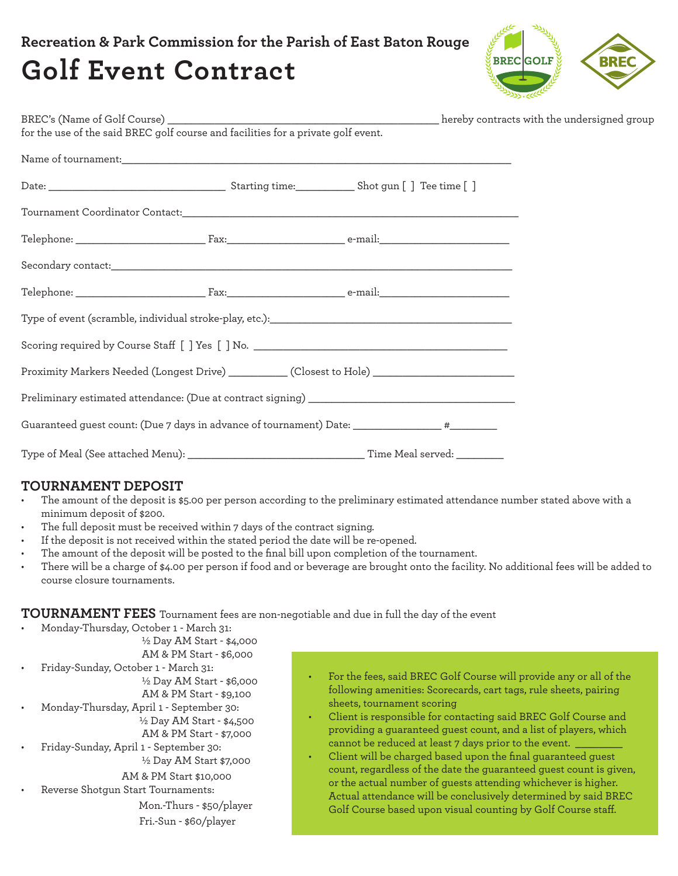# **Recreation & Park Commission for the Parish of East Baton Rouge Golf Event Contract**



| Scoring required by Course Staff [ ] Yes [ ] No. ________________________________                   |  |  |
|-----------------------------------------------------------------------------------------------------|--|--|
| Proximity Markers Needed (Longest Drive) ____________ (Closest to Hole) ___________________________ |  |  |
|                                                                                                     |  |  |
| Guaranteed guest count: (Due 7 days in advance of tournament) Date: __________________ #__________  |  |  |
|                                                                                                     |  |  |

## **TOURNAMENT DEPOSIT**

- The amount of the deposit is \$5.00 per person according to the preliminary estimated attendance number stated above with a minimum deposit of \$200.
- The full deposit must be received within 7 days of the contract signing.
- If the deposit is not received within the stated period the date will be re-opened.
- The amount of the deposit will be posted to the final bill upon completion of the tournament.
- There will be a charge of \$4.00 per person if food and or beverage are brought onto the facility. No additional fees will be added to course closure tournaments.

**TOURNAMENT FEES** Tournament fees are non-negotiable and due in full the day of the event

- Monday-Thursday, October 1 March 31: ½ Day AM Start - \$4,000 AM & PM Start - \$6,000 • Friday-Sunday, October 1 - March 31: ½ Day AM Start - \$6,000 AM & PM Start - \$9,100 • Monday-Thursday, April 1 - September 30: ½ Day AM Start - \$4,500 AM & PM Start - \$7,000 • Friday-Sunday, April 1 - September 30: ½ Day AM Start \$7,000 AM & PM Start \$10,000 • Reverse Shotgun Start Tournaments: Mon.-Thurs - \$50/player Fri.-Sun - \$60/player
- For the fees, said BREC Golf Course will provide any or all of the following amenities: Scorecards, cart tags, rule sheets, pairing sheets, tournament scoring
	- Client is responsible for contacting said BREC Golf Course and providing a guaranteed guest count, and a list of players, which cannot be reduced at least 7 days prior to the event.
- Client will be charged based upon the final guaranteed guest count, regardless of the date the guaranteed guest count is given, or the actual number of guests attending whichever is higher. Actual attendance will be conclusively determined by said BREC Golf Course based upon visual counting by Golf Course staff.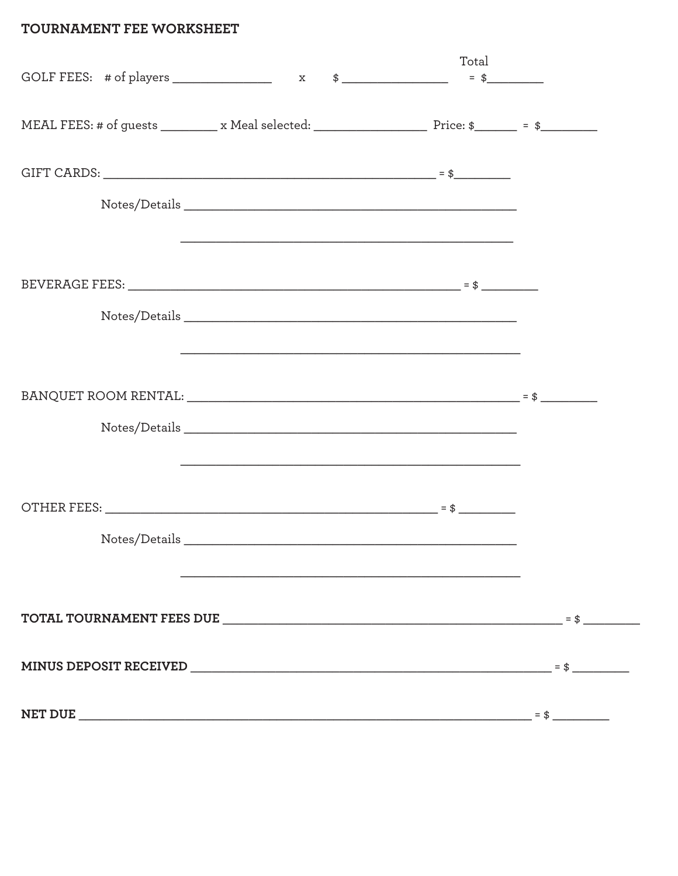# TOURNAMENT FEE WORKSHEET

|                                                                                                                           |                                                                                                                        | Total |  |
|---------------------------------------------------------------------------------------------------------------------------|------------------------------------------------------------------------------------------------------------------------|-------|--|
| MEAL FEES: # of guests __________ x Meal selected: ___________________________________ Price: \$__________ = \$__________ |                                                                                                                        |       |  |
|                                                                                                                           |                                                                                                                        |       |  |
|                                                                                                                           |                                                                                                                        |       |  |
|                                                                                                                           | <u> 1990 - Johann John Stoff, deutscher Stoff, der Stoff, der Stoff, der Stoff, der Stoff, der Stoff, der Stoff, d</u> |       |  |
|                                                                                                                           |                                                                                                                        |       |  |
|                                                                                                                           |                                                                                                                        |       |  |
|                                                                                                                           | <u> 1989 - Johann Stoff, amerikansk politiker (d. 1989)</u>                                                            |       |  |
| $BANQUET$ ROOM RENTAL: $\qquad \qquad \qquad$                                                                             |                                                                                                                        |       |  |
|                                                                                                                           |                                                                                                                        |       |  |
|                                                                                                                           |                                                                                                                        |       |  |
|                                                                                                                           |                                                                                                                        |       |  |
|                                                                                                                           |                                                                                                                        |       |  |
|                                                                                                                           |                                                                                                                        |       |  |
|                                                                                                                           |                                                                                                                        |       |  |
|                                                                                                                           |                                                                                                                        |       |  |
|                                                                                                                           |                                                                                                                        |       |  |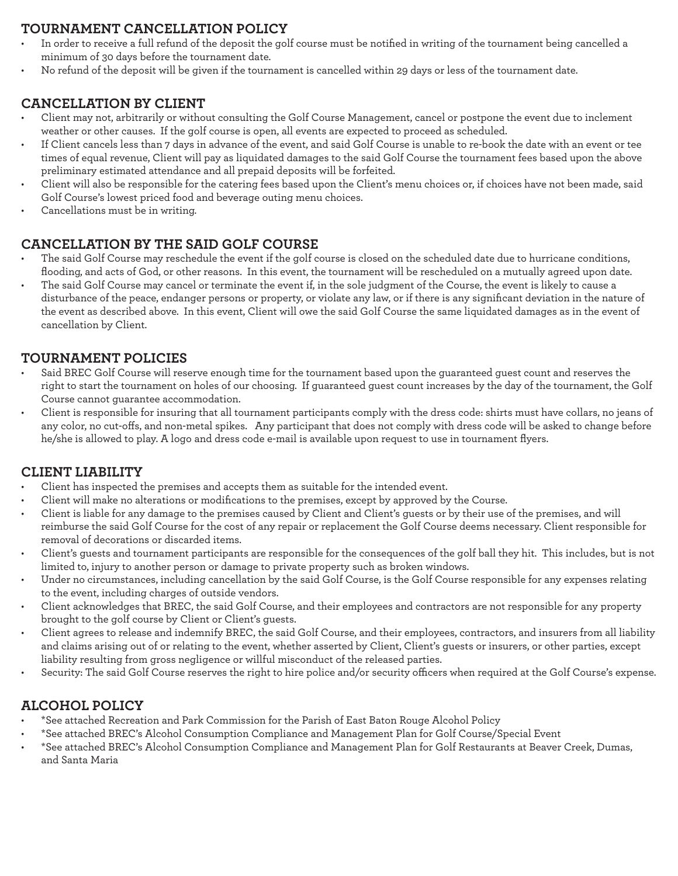# **TOURNAMENT CANCELLATION POLICY**

- In order to receive a full refund of the deposit the golf course must be notified in writing of the tournament being cancelled a minimum of 30 days before the tournament date.
- No refund of the deposit will be given if the tournament is cancelled within 29 days or less of the tournament date.

## **CANCELLATION BY CLIENT**

- Client may not, arbitrarily or without consulting the Golf Course Management, cancel or postpone the event due to inclement weather or other causes. If the golf course is open, all events are expected to proceed as scheduled.
- If Client cancels less than 7 days in advance of the event, and said Golf Course is unable to re-book the date with an event or tee times of equal revenue, Client will pay as liquidated damages to the said Golf Course the tournament fees based upon the above preliminary estimated attendance and all prepaid deposits will be forfeited.
- Client will also be responsible for the catering fees based upon the Client's menu choices or, if choices have not been made, said Golf Course's lowest priced food and beverage outing menu choices.
- Cancellations must be in writing.

# **CANCELLATION BY THE SAID GOLF COURSE**

- The said Golf Course may reschedule the event if the golf course is closed on the scheduled date due to hurricane conditions, flooding, and acts of God, or other reasons. In this event, the tournament will be rescheduled on a mutually agreed upon date.
- The said Golf Course may cancel or terminate the event if, in the sole judgment of the Course, the event is likely to cause a disturbance of the peace, endanger persons or property, or violate any law, or if there is any significant deviation in the nature of the event as described above. In this event, Client will owe the said Golf Course the same liquidated damages as in the event of cancellation by Client.

## **TOURNAMENT POLICIES**

- Said BREC Golf Course will reserve enough time for the tournament based upon the guaranteed guest count and reserves the right to start the tournament on holes of our choosing. If guaranteed guest count increases by the day of the tournament, the Golf Course cannot guarantee accommodation.
- Client is responsible for insuring that all tournament participants comply with the dress code: shirts must have collars, no jeans of any color, no cut-offs, and non-metal spikes. Any participant that does not comply with dress code will be asked to change before he/she is allowed to play. A logo and dress code e-mail is available upon request to use in tournament flyers.

## **CLIENT LIABILITY**

- Client has inspected the premises and accepts them as suitable for the intended event.
- Client will make no alterations or modifications to the premises, except by approved by the Course.
- Client is liable for any damage to the premises caused by Client and Client's guests or by their use of the premises, and will reimburse the said Golf Course for the cost of any repair or replacement the Golf Course deems necessary. Client responsible for removal of decorations or discarded items.
- Client's guests and tournament participants are responsible for the consequences of the golf ball they hit. This includes, but is not limited to, injury to another person or damage to private property such as broken windows.
- Under no circumstances, including cancellation by the said Golf Course, is the Golf Course responsible for any expenses relating to the event, including charges of outside vendors.
- Client acknowledges that BREC, the said Golf Course, and their employees and contractors are not responsible for any property brought to the golf course by Client or Client's guests.
- Client agrees to release and indemnify BREC, the said Golf Course, and their employees, contractors, and insurers from all liability and claims arising out of or relating to the event, whether asserted by Client, Client's guests or insurers, or other parties, except liability resulting from gross negligence or willful misconduct of the released parties.
- Security: The said Golf Course reserves the right to hire police and/or security officers when required at the Golf Course's expense.

# **ALCOHOL POLICY**

- \*See attached Recreation and Park Commission for the Parish of East Baton Rouge Alcohol Policy
- \*See attached BREC's Alcohol Consumption Compliance and Management Plan for Golf Course/Special Event
- \*See attached BREC's Alcohol Consumption Compliance and Management Plan for Golf Restaurants at Beaver Creek, Dumas, and Santa Maria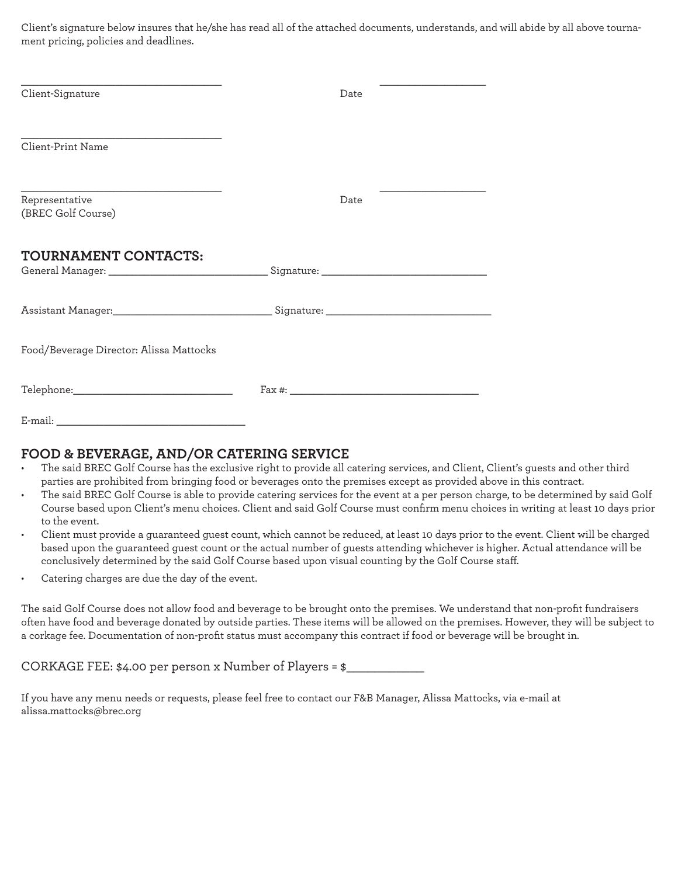Client's signature below insures that he/she has read all of the attached documents, understands, and will abide by all above tournament pricing, policies and deadlines.

| Client-Signature                                                                  | Date |  |
|-----------------------------------------------------------------------------------|------|--|
| Client-Print Name                                                                 |      |  |
| Representative<br>(BREC Golf Course)                                              | Date |  |
| <b>TOURNAMENT CONTACTS:</b>                                                       |      |  |
| Assistant Manager:___________________________________Signature: _________________ |      |  |
| Food/Beverage Director: Alissa Mattocks                                           |      |  |
|                                                                                   |      |  |

E-mail:

## **FOOD & BEVERAGE, AND/OR CATERING SERVICE**

- The said BREC Golf Course has the exclusive right to provide all catering services, and Client, Client's guests and other third parties are prohibited from bringing food or beverages onto the premises except as provided above in this contract.
- The said BREC Golf Course is able to provide catering services for the event at a per person charge, to be determined by said Golf Course based upon Client's menu choices. Client and said Golf Course must confirm menu choices in writing at least 10 days prior to the event.
- Client must provide a guaranteed guest count, which cannot be reduced, at least 10 days prior to the event. Client will be charged based upon the guaranteed guest count or the actual number of guests attending whichever is higher. Actual attendance will be conclusively determined by the said Golf Course based upon visual counting by the Golf Course staff.
- Catering charges are due the day of the event.

The said Golf Course does not allow food and beverage to be brought onto the premises. We understand that non-profit fundraisers often have food and beverage donated by outside parties. These items will be allowed on the premises. However, they will be subject to a corkage fee. Documentation of non-profit status must accompany this contract if food or beverage will be brought in.

CORKAGE FEE:  $$4.00$  per person x Number of Players =  $$$ 

If you have any menu needs or requests, please feel free to contact our F&B Manager, Alissa Mattocks, via e-mail at alissa.mattocks@brec.org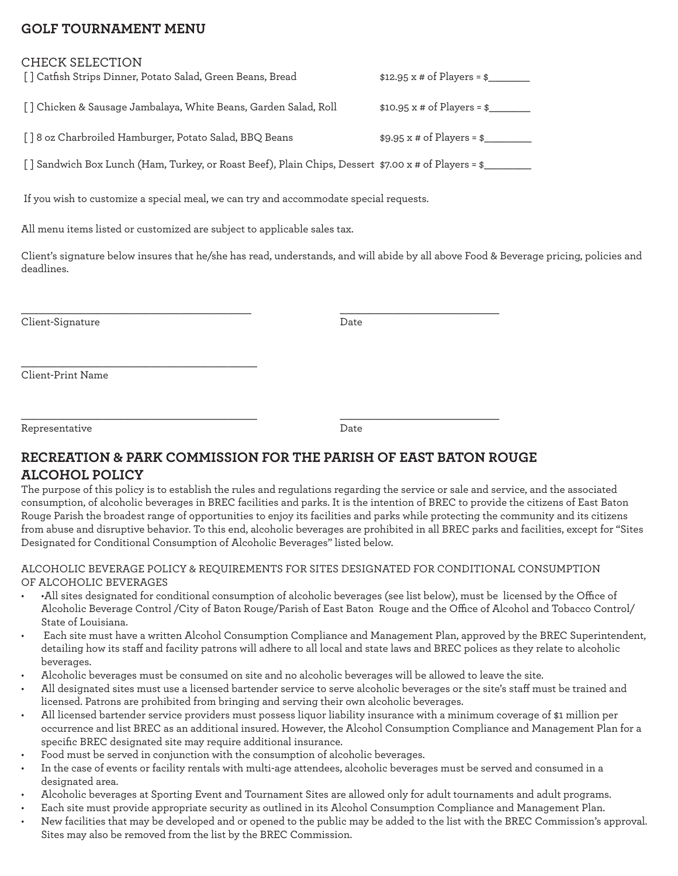## **GOLF TOURNAMENT MENU**

## CHECK SELECTION

| [] Catfish Strips Dinner, Potato Salad, Green Beans, Bread | \$12.95 x # of Players = \$_ |  |
|------------------------------------------------------------|------------------------------|--|
|                                                            |                              |  |
|                                                            |                              |  |

[ ] Chicken & Sausage Jambalaya, White Beans, Garden Salad, Roll \$10.95 x # of Players = \$\_\_\_\_\_\_\_

 $\overline{\phantom{a}}$  , and the set of the set of the set of the set of the set of the set of the set of the set of the set of the set of the set of the set of the set of the set of the set of the set of the set of the set of the s

[ ] 8 oz Charbroiled Hamburger, Potato Salad, BBO Beans  $$9.95 \times $4$  of Players = \$

\_\_\_\_\_\_\_\_\_\_\_\_\_\_\_\_\_\_\_\_\_\_\_\_\_\_\_\_\_\_\_\_\_\_\_\_\_\_\_\_

[ ] Sandwich Box Lunch (Ham, Turkey, or Roast Beef), Plain Chips, Dessert \$7.00 x # of Players = \$\_\_\_\_\_\_\_\_

If you wish to customize a special meal, we can try and accommodate special requests.

All menu items listed or customized are subject to applicable sales tax.

Client's signature below insures that he/she has read, understands, and will abide by all above Food & Beverage pricing, policies and deadlines.

Client-Signature Date

Client-Print Name

Representative Date

 $\overline{\phantom{a}}$  , and the set of the set of the set of the set of the set of the set of the set of the set of the set of the set of the set of the set of the set of the set of the set of the set of the set of the set of the s

# **RECREATION & PARK COMMISSION FOR THE PARISH OF EAST BATON ROUGE ALCOHOL POLICY**

The purpose of this policy is to establish the rules and regulations regarding the service or sale and service, and the associated consumption, of alcoholic beverages in BREC facilities and parks. It is the intention of BREC to provide the citizens of East Baton Rouge Parish the broadest range of opportunities to enjoy its facilities and parks while protecting the community and its citizens from abuse and disruptive behavior. To this end, alcoholic beverages are prohibited in all BREC parks and facilities, except for "Sites Designated for Conditional Consumption of Alcoholic Beverages" listed below.

## ALCOHOLIC BEVERAGE POLICY & REQUIREMENTS FOR SITES DESIGNATED FOR CONDITIONAL CONSUMPTION OF ALCOHOLIC BEVERAGES

- •All sites designated for conditional consumption of alcoholic beverages (see list below), must be licensed by the Office of Alcoholic Beverage Control /City of Baton Rouge/Parish of East Baton Rouge and the Office of Alcohol and Tobacco Control/ State of Louisiana.
- Each site must have a written Alcohol Consumption Compliance and Management Plan, approved by the BREC Superintendent, detailing how its staff and facility patrons will adhere to all local and state laws and BREC polices as they relate to alcoholic beverages.
- Alcoholic beverages must be consumed on site and no alcoholic beverages will be allowed to leave the site.
- All designated sites must use a licensed bartender service to serve alcoholic beverages or the site's staff must be trained and licensed. Patrons are prohibited from bringing and serving their own alcoholic beverages.
- All licensed bartender service providers must possess liquor liability insurance with a minimum coverage of \$1 million per occurrence and list BREC as an additional insured. However, the Alcohol Consumption Compliance and Management Plan for a specific BREC designated site may require additional insurance.
- Food must be served in conjunction with the consumption of alcoholic beverages.
- In the case of events or facility rentals with multi-age attendees, alcoholic beverages must be served and consumed in a designated area.
- Alcoholic beverages at Sporting Event and Tournament Sites are allowed only for adult tournaments and adult programs.
- Each site must provide appropriate security as outlined in its Alcohol Consumption Compliance and Management Plan.
- New facilities that may be developed and or opened to the public may be added to the list with the BREC Commission's approval. Sites may also be removed from the list by the BREC Commission.